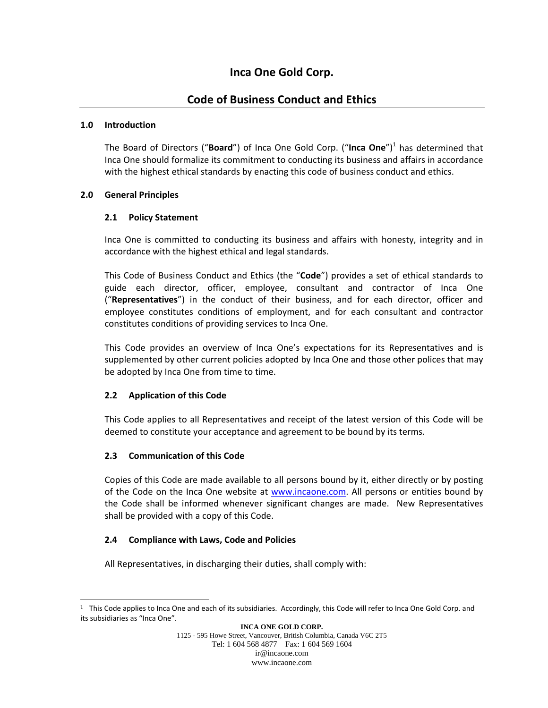# **Inca One Gold Corp.**

# **Code of Business Conduct and Ethics**

#### **1.0 Introduction**

The Board of Directors ("**Board**") of Inca One Gold Corp. ("Inca One")<sup>1</sup> has determined that Inca One should formalize its commitment to conducting its business and affairs in accordance with the highest ethical standards by enacting this code of business conduct and ethics.

# **2.0 General Principles**

#### **2.1 Policy Statement**

Inca One is committed to conducting its business and affairs with honesty, integrity and in accordance with the highest ethical and legal standards.

This Code of Business Conduct and Ethics (the "**Code**") provides a set of ethical standards to guide each director, officer, employee, consultant and contractor of Inca One ("**Representatives**") in the conduct of their business, and for each director, officer and employee constitutes conditions of employment, and for each consultant and contractor constitutes conditions of providing services to Inca One.

This Code provides an overview of Inca One's expectations for its Representatives and is supplemented by other current policies adopted by Inca One and those other polices that may be adopted by Inca One from time to time.

# **2.2 Application of this Code**

This Code applies to all Representatives and receipt of the latest version of this Code will be deemed to constitute your acceptance and agreement to be bound by its terms.

# **2.3 Communication of this Code**

 $\overline{\phantom{a}}$ 

Copies of this Code are made available to all persons bound by it, either directly or by posting of the Code on the Inca One website at www.incaone.com. All persons or entities bound by the Code shall be informed whenever significant changes are made. New Representatives shall be provided with a copy of this Code.

# **2.4 Compliance with Laws, Code and Policies**

All Representatives, in discharging their duties, shall comply with:

 $1$  This Code applies to Inca One and each of its subsidiaries. Accordingly, this Code will refer to Inca One Gold Corp. and its subsidiaries as "Inca One".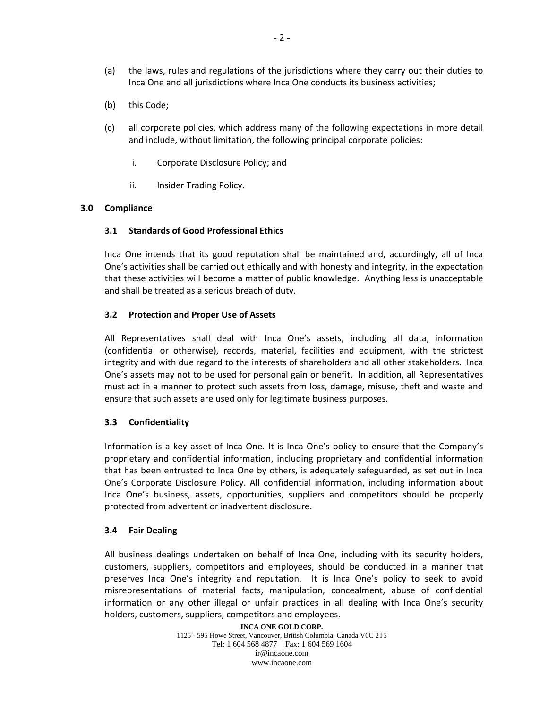- (a) the laws, rules and regulations of the jurisdictions where they carry out their duties to Inca One and all jurisdictions where Inca One conducts its business activities;
- (b) this Code;
- (c) all corporate policies, which address many of the following expectations in more detail and include, without limitation, the following principal corporate policies:
	- i. Corporate Disclosure Policy; and
	- ii. Insider Trading Policy.

#### **3.0 Compliance**

#### **3.1 Standards of Good Professional Ethics**

Inca One intends that its good reputation shall be maintained and, accordingly, all of Inca One's activities shall be carried out ethically and with honesty and integrity, in the expectation that these activities will become a matter of public knowledge. Anything less is unacceptable and shall be treated as a serious breach of duty.

# **3.2 Protection and Proper Use of Assets**

All Representatives shall deal with Inca One's assets, including all data, information (confidential or otherwise), records, material, facilities and equipment, with the strictest integrity and with due regard to the interests of shareholders and all other stakeholders. Inca One's assets may not to be used for personal gain or benefit. In addition, all Representatives must act in a manner to protect such assets from loss, damage, misuse, theft and waste and ensure that such assets are used only for legitimate business purposes.

# **3.3 Confidentiality**

Information is a key asset of Inca One. It is Inca One's policy to ensure that the Company's proprietary and confidential information, including proprietary and confidential information that has been entrusted to Inca One by others, is adequately safeguarded, as set out in Inca One's Corporate Disclosure Policy. All confidential information, including information about Inca One's business, assets, opportunities, suppliers and competitors should be properly protected from advertent or inadvertent disclosure.

#### **3.4 Fair Dealing**

All business dealings undertaken on behalf of Inca One, including with its security holders, customers, suppliers, competitors and employees, should be conducted in a manner that preserves Inca One's integrity and reputation. It is Inca One's policy to seek to avoid misrepresentations of material facts, manipulation, concealment, abuse of confidential information or any other illegal or unfair practices in all dealing with Inca One's security holders, customers, suppliers, competitors and employees.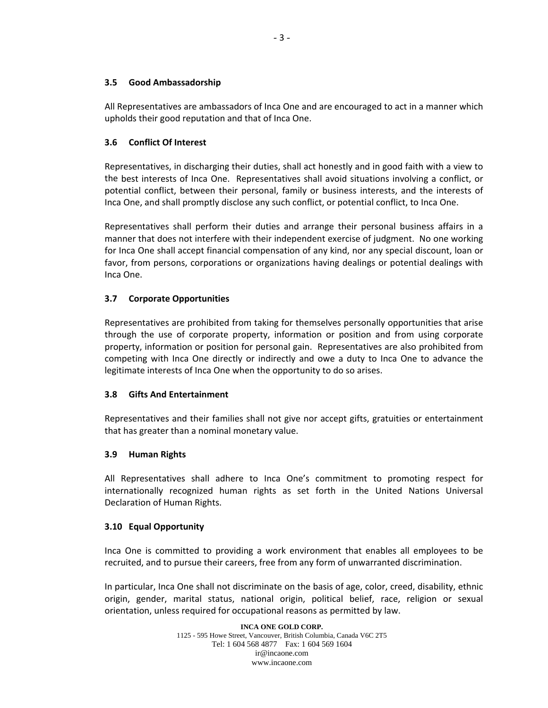#### **3.5 Good Ambassadorship**

All Representatives are ambassadors of Inca One and are encouraged to act in a manner which upholds their good reputation and that of Inca One.

# **3.6 Conflict Of Interest**

Representatives, in discharging their duties, shall act honestly and in good faith with a view to the best interests of Inca One. Representatives shall avoid situations involving a conflict, or potential conflict, between their personal, family or business interests, and the interests of Inca One, and shall promptly disclose any such conflict, or potential conflict, to Inca One.

Representatives shall perform their duties and arrange their personal business affairs in a manner that does not interfere with their independent exercise of judgment. No one working for Inca One shall accept financial compensation of any kind, nor any special discount, loan or favor, from persons, corporations or organizations having dealings or potential dealings with Inca One.

# **3.7 Corporate Opportunities**

Representatives are prohibited from taking for themselves personally opportunities that arise through the use of corporate property, information or position and from using corporate property, information or position for personal gain. Representatives are also prohibited from competing with Inca One directly or indirectly and owe a duty to Inca One to advance the legitimate interests of Inca One when the opportunity to do so arises.

# **3.8 Gifts And Entertainment**

Representatives and their families shall not give nor accept gifts, gratuities or entertainment that has greater than a nominal monetary value.

# **3.9 Human Rights**

All Representatives shall adhere to Inca One's commitment to promoting respect for internationally recognized human rights as set forth in the United Nations Universal Declaration of Human Rights.

# **3.10 Equal Opportunity**

Inca One is committed to providing a work environment that enables all employees to be recruited, and to pursue their careers, free from any form of unwarranted discrimination.

In particular, Inca One shall not discriminate on the basis of age, color, creed, disability, ethnic origin, gender, marital status, national origin, political belief, race, religion or sexual orientation, unless required for occupational reasons as permitted by law.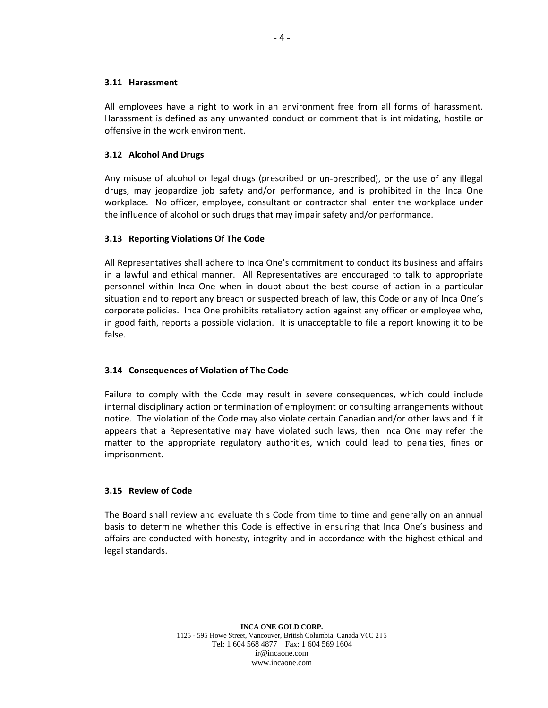#### **3.11 Harassment**

All employees have a right to work in an environment free from all forms of harassment. Harassment is defined as any unwanted conduct or comment that is intimidating, hostile or offensive in the work environment.

# **3.12 Alcohol And Drugs**

Any misuse of alcohol or legal drugs (prescribed or un‐prescribed), or the use of any illegal drugs, may jeopardize job safety and/or performance, and is prohibited in the Inca One workplace. No officer, employee, consultant or contractor shall enter the workplace under the influence of alcohol or such drugs that may impair safety and/or performance.

# **3.13 Reporting Violations Of The Code**

All Representatives shall adhere to Inca One's commitment to conduct its business and affairs in a lawful and ethical manner. All Representatives are encouraged to talk to appropriate personnel within Inca One when in doubt about the best course of action in a particular situation and to report any breach or suspected breach of law, this Code or any of Inca One's corporate policies. Inca One prohibits retaliatory action against any officer or employee who, in good faith, reports a possible violation. It is unacceptable to file a report knowing it to be false.

# **3.14 Consequences of Violation of The Code**

Failure to comply with the Code may result in severe consequences, which could include internal disciplinary action or termination of employment or consulting arrangements without notice. The violation of the Code may also violate certain Canadian and/or other laws and if it appears that a Representative may have violated such laws, then Inca One may refer the matter to the appropriate regulatory authorities, which could lead to penalties, fines or imprisonment.

# **3.15 Review of Code**

The Board shall review and evaluate this Code from time to time and generally on an annual basis to determine whether this Code is effective in ensuring that Inca One's business and affairs are conducted with honesty, integrity and in accordance with the highest ethical and legal standards.